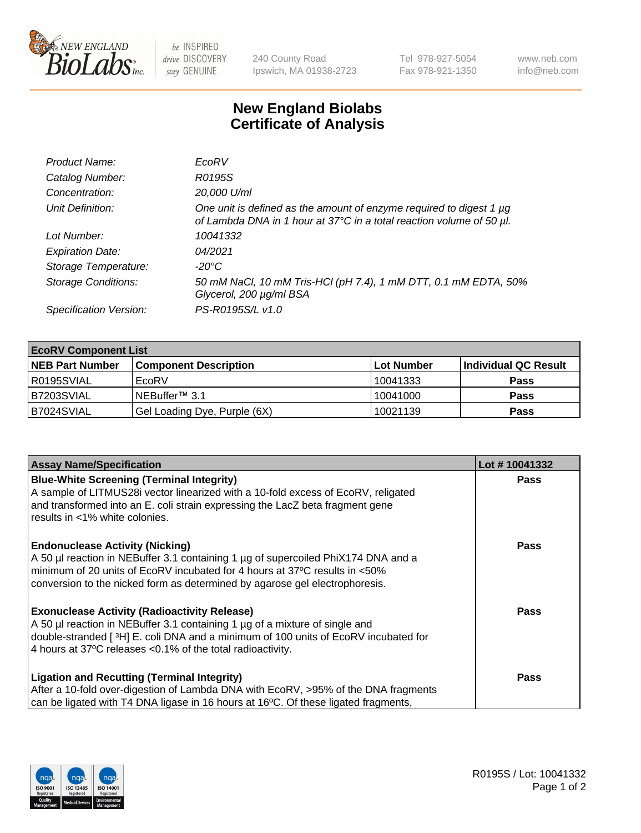

be INSPIRED drive DISCOVERY stay GENUINE

240 County Road Ipswich, MA 01938-2723 Tel 978-927-5054 Fax 978-921-1350 www.neb.com info@neb.com

## **New England Biolabs Certificate of Analysis**

| Product Name:              | EcoRV                                                                                                                                       |
|----------------------------|---------------------------------------------------------------------------------------------------------------------------------------------|
| Catalog Number:            | R0195S                                                                                                                                      |
| Concentration:             | 20,000 U/ml                                                                                                                                 |
| Unit Definition:           | One unit is defined as the amount of enzyme required to digest 1 µg<br>of Lambda DNA in 1 hour at 37°C in a total reaction volume of 50 µl. |
| Lot Number:                | 10041332                                                                                                                                    |
| <b>Expiration Date:</b>    | 04/2021                                                                                                                                     |
| Storage Temperature:       | -20°C                                                                                                                                       |
| <b>Storage Conditions:</b> | 50 mM NaCl, 10 mM Tris-HCl (pH 7.4), 1 mM DTT, 0.1 mM EDTA, 50%<br>Glycerol, 200 µg/ml BSA                                                  |
| Specification Version:     | PS-R0195S/L v1.0                                                                                                                            |

| <b>EcoRV Component List</b> |                              |                   |                      |  |  |
|-----------------------------|------------------------------|-------------------|----------------------|--|--|
| <b>NEB Part Number</b>      | <b>Component Description</b> | <b>Lot Number</b> | Individual QC Result |  |  |
| l R0195SVIAL                | EcoRV                        | 10041333          | <b>Pass</b>          |  |  |
| B7203SVIAL                  | INEBuffer™ 3.1               | 10041000          | <b>Pass</b>          |  |  |
| B7024SVIAL                  | Gel Loading Dye, Purple (6X) | 10021139          | <b>Pass</b>          |  |  |

| <b>Assay Name/Specification</b>                                                                                                                                                                                                                                                                     | Lot #10041332 |
|-----------------------------------------------------------------------------------------------------------------------------------------------------------------------------------------------------------------------------------------------------------------------------------------------------|---------------|
| <b>Blue-White Screening (Terminal Integrity)</b><br>A sample of LITMUS28i vector linearized with a 10-fold excess of EcoRV, religated<br>and transformed into an E. coli strain expressing the LacZ beta fragment gene                                                                              | <b>Pass</b>   |
| results in <1% white colonies.                                                                                                                                                                                                                                                                      | <b>Pass</b>   |
| <b>Endonuclease Activity (Nicking)</b><br>A 50 µl reaction in NEBuffer 3.1 containing 1 µg of supercoiled PhiX174 DNA and a<br>minimum of 20 units of EcoRV incubated for 4 hours at 37°C results in <50%<br>conversion to the nicked form as determined by agarose gel electrophoresis.            |               |
| <b>Exonuclease Activity (Radioactivity Release)</b><br>A 50 µl reaction in NEBuffer 3.1 containing 1 µg of a mixture of single and<br>double-stranded [ <sup>3</sup> H] E. coli DNA and a minimum of 100 units of EcoRV incubated for<br>4 hours at 37°C releases <0.1% of the total radioactivity. | Pass          |
| <b>Ligation and Recutting (Terminal Integrity)</b><br>After a 10-fold over-digestion of Lambda DNA with EcoRV, >95% of the DNA fragments<br>can be ligated with T4 DNA ligase in 16 hours at 16°C. Of these ligated fragments,                                                                      | <b>Pass</b>   |